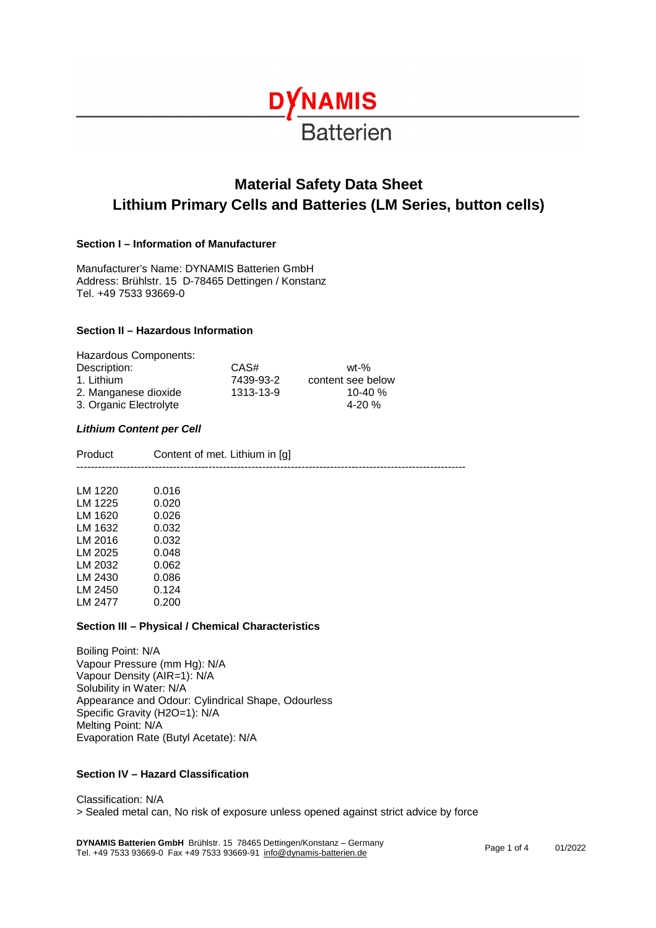# **DYNAMIS Batterien**

# **Material Safety Data Sheet Lithium Primary Cells and Batteries (LM Series, button cells)**

# **Section I – Information of Manufacturer**

Manufacturer's Name: DYNAMIS Batterien GmbH Address: Brühlstr. 15 D-78465 Dettingen / Konstanz Tel. +49 7533 93669-0

# **Section II – Hazardous Information**

| Hazardous Components:  |           |                   |
|------------------------|-----------|-------------------|
| Description:           | CAS#      | wt-%              |
| 1. Lithium             | 7439-93-2 | content see below |
| 2. Manganese dioxide   | 1313-13-9 | 10-40 $%$         |
| 3. Organic Electrolyte |           | $4-20%$           |

#### *Lithium Content per Cell*

| Product | Content of met. Lithium in [g] |
|---------|--------------------------------|
|         |                                |

| LM 1220 | 0.016 |
|---------|-------|
| LM 1225 | 0.020 |
| LM 1620 | 0.026 |
| LM 1632 | 0.032 |
| LM 2016 | 0.032 |
| LM 2025 | 0.048 |
| LM 2032 | 0.062 |
| LM 2430 | 0.086 |
| LM 2450 | 0.124 |
| LM 2477 | 0.200 |
|         |       |

#### **Section III – Physical / Chemical Characteristics**

Boiling Point: N/A Vapour Pressure (mm Hg): N/A Vapour Density (AIR=1): N/A Solubility in Water: N/A Appearance and Odour: Cylindrical Shape, Odourless Specific Gravity (H2O=1): N/A Melting Point: N/A Evaporation Rate (Butyl Acetate): N/A

# **Section IV – Hazard Classification**

Classification: N/A > Sealed metal can, No risk of exposure unless opened against strict advice by force

**DYNAMIS Batterien GmbH** Brühlstr. 15 78465 Dettingen/Konstanz – Germany **DTNAMIS Batterien GmbH** Brunistr. 15 78465 Dettingen/Konstanz – Germany<br>Tel. +49 7533 93669-0 Fax +49 7533 93669-91 <u>[info@dynamis-batterien.de](mailto:info@dynamis-batterien.de)</u> Page 1 1 Page 1 of 4 01/2022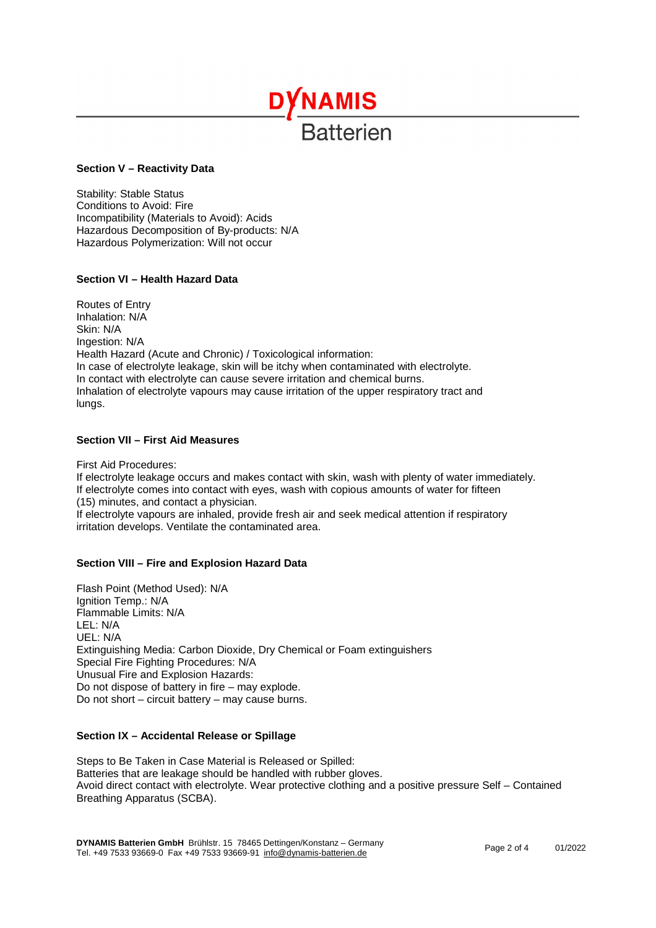# **DYNAMIS Ratterien**

#### **Section V – Reactivity Data**

Stability: Stable Status Conditions to Avoid: Fire Incompatibility (Materials to Avoid): Acids Hazardous Decomposition of By-products: N/A Hazardous Polymerization: Will not occur

# **Section VI – Health Hazard Data**

Routes of Entry Inhalation: N/A Skin: N/A Ingestion: N/A Health Hazard (Acute and Chronic) / Toxicological information: In case of electrolyte leakage, skin will be itchy when contaminated with electrolyte. In contact with electrolyte can cause severe irritation and chemical burns. Inhalation of electrolyte vapours may cause irritation of the upper respiratory tract and lungs.

#### **Section VII – First Aid Measures**

First Aid Procedures: If electrolyte leakage occurs and makes contact with skin, wash with plenty of water immediately. If electrolyte comes into contact with eyes, wash with copious amounts of water for fifteen (15) minutes, and contact a physician.

If electrolyte vapours are inhaled, provide fresh air and seek medical attention if respiratory irritation develops. Ventilate the contaminated area.

#### **Section VIII – Fire and Explosion Hazard Data**

Flash Point (Method Used): N/A Ignition Temp.: N/A Flammable Limits: N/A LEL: N/A UEL: N/A Extinguishing Media: Carbon Dioxide, Dry Chemical or Foam extinguishers Special Fire Fighting Procedures: N/A Unusual Fire and Explosion Hazards: Do not dispose of battery in fire – may explode. Do not short – circuit battery – may cause burns.

#### **Section IX – Accidental Release or Spillage**

Steps to Be Taken in Case Material is Released or Spilled: Batteries that are leakage should be handled with rubber gloves. Avoid direct contact with electrolyte. Wear protective clothing and a positive pressure Self – Contained Breathing Apparatus (SCBA).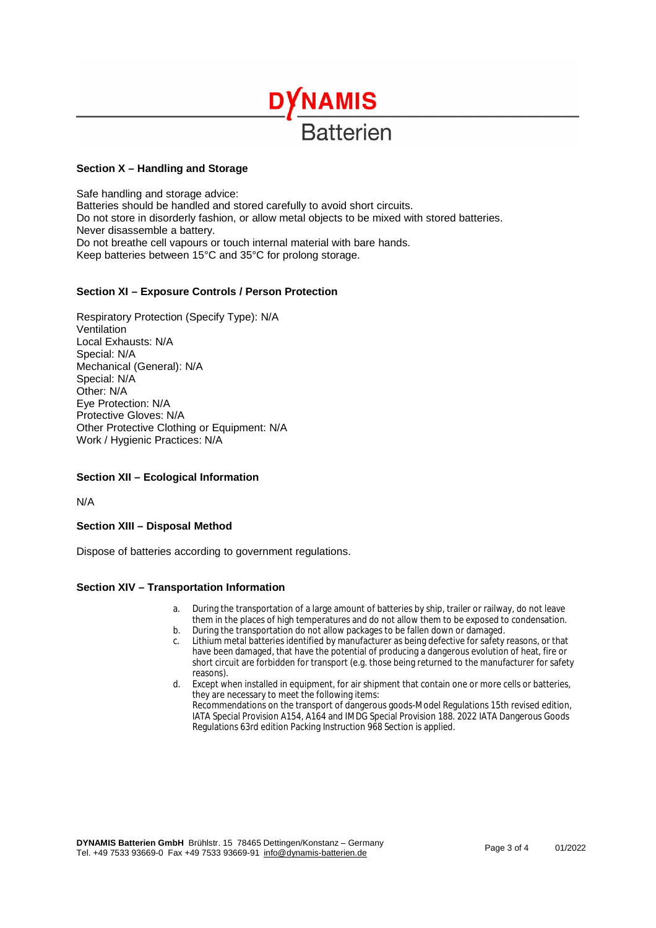

#### **Section X – Handling and Storage**

Safe handling and storage advice: Batteries should be handled and stored carefully to avoid short circuits. Do not store in disorderly fashion, or allow metal objects to be mixed with stored batteries. Never disassemble a battery. Do not breathe cell vapours or touch internal material with bare hands. Keep batteries between 15°C and 35°C for prolong storage.

#### **Section XI – Exposure Controls / Person Protection**

Respiratory Protection (Specify Type): N/A Ventilation Local Exhausts: N/A Special: N/A Mechanical (General): N/A Special: N/A Other: N/A Eye Protection: N/A Protective Gloves: N/A Other Protective Clothing or Equipment: N/A Work / Hygienic Practices: N/A

#### **Section XII – Ecological Information**

N/A

**Section XIII – Disposal Method** 

Dispose of batteries according to government regulations.

#### **Section XIV – Transportation Information**

- a. During the transportation of a large amount of batteries by ship, trailer or railway, do not leave them in the places of high temperatures and do not allow them to be exposed to condensation.
- b. During the transportation do not allow packages to be fallen down or damaged.<br>c. Lithium metal batteries identified by manufacturer as being defective for safety
- Lithium metal batteries identified by manufacturer as being defective for safety reasons, or that have been damaged, that have the potential of producing a dangerous evolution of heat, fire or short circuit are forbidden for transport (e.g. those being returned to the manufacturer for safety reasons).
- d. Except when installed in equipment, for air shipment that contain one or more cells or batteries, they are necessary to meet the following items: Recommendations on the transport of dangerous goods-Model Regulations 15th revised edition, IATA Special Provision A154, A164 and IMDG Special Provision 188. 2022 IATA Dangerous Goods Regulations 63rd edition Packing Instruction 968 Section is applied.